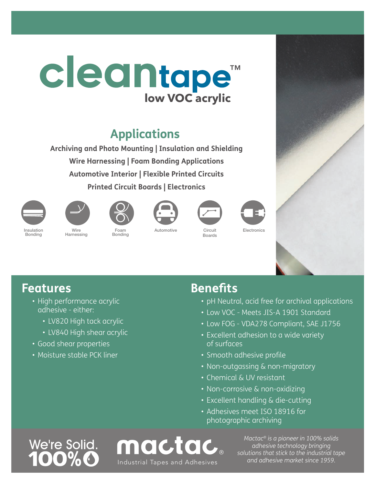# **low VOC acrylic** cleantape™

## **Applications**

**Archiving and Photo Mounting | Insulation and Shielding Wire Harnessing | Foam Bonding Applications Automotive Interior | Flexible Printed Circuits Printed Circuit Boards | Electronics**















Bonding

Wire Harnessing

Foam Bonding

Automotive Circuit Boards





- High performance acrylic adhesive - either:
	- LV820 High tack acrylic
	- LV840 High shear acrylic
- Good shear properties
- Moisture stable PCK liner

### **Benefits**

- pH Neutral, acid free for archival applications
- Low VOC Meets JIS-A 1901 Standard
- Low FOG VDA278 Compliant, SAE J1756
- Excellent adhesion to a wide variety of surfaces
- Smooth adhesive profile
- Non-outgassing & non-migratory
- Chemical & UV resistant
- Non-corrosive & non-oxidizing
- Excellent handling & die-cutting
- Adhesives meet ISO 18916 for photographic archiving



mactac *and adhesive market since 1959.* Industrial Tapes and Adhesives

*Mactac® is a pioneer in 100% solids adhesive technology bringing solutions that stick to the industrial tape*